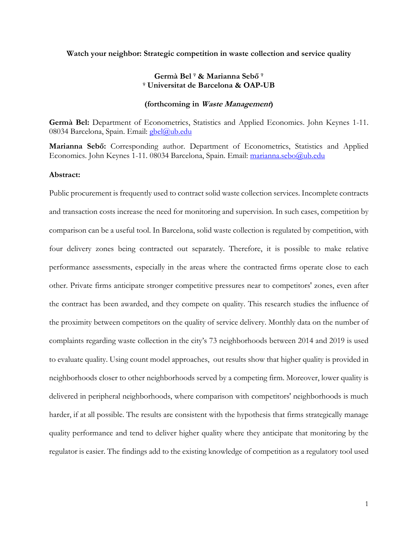### **Watch your neighbor: Strategic competition in waste collection and service quality**

# **Germà Bel <sup>φ</sup> & Marianna Sebő <sup>φ</sup> <sup>φ</sup> Universitat de Barcelona & OAP-UB**

# **(forthcoming in Waste Management)**

**Germà Bel:** Department of Econometrics, Statistics and Applied Economics. John Keynes 1-11. 08034 Barcelona, Spain. Email: [gbel@ub.edu](mailto:gbel@ub.edu)

**Marianna Sebő:** Corresponding author. Department of Econometrics, Statistics and Applied Economics. John Keynes 1-11. 08034 Barcelona, Spain. Email: [marianna.sebo@ub.edu](mailto:marianna.sebo@ub.edu)

# **Abstract:**

Public procurement is frequently used to contract solid waste collection services. Incomplete contracts and transaction costs increase the need for monitoring and supervision. In such cases, competition by comparison can be a useful tool. In Barcelona, solid waste collection is regulated by competition, with four delivery zones being contracted out separately. Therefore, it is possible to make relative performance assessments, especially in the areas where the contracted firms operate close to each other. Private firms anticipate stronger competitive pressures near to competitors' zones, even after the contract has been awarded, and they compete on quality. This research studies the influence of the proximity between competitors on the quality of service delivery. Monthly data on the number of complaints regarding waste collection in the city's 73 neighborhoods between 2014 and 2019 is used to evaluate quality. Using count model approaches, out results show that higher quality is provided in neighborhoods closer to other neighborhoods served by a competing firm. Moreover, lower quality is delivered in peripheral neighborhoods, where comparison with competitors' neighborhoods is much harder, if at all possible. The results are consistent with the hypothesis that firms strategically manage quality performance and tend to deliver higher quality where they anticipate that monitoring by the regulator is easier. The findings add to the existing knowledge of competition as a regulatory tool used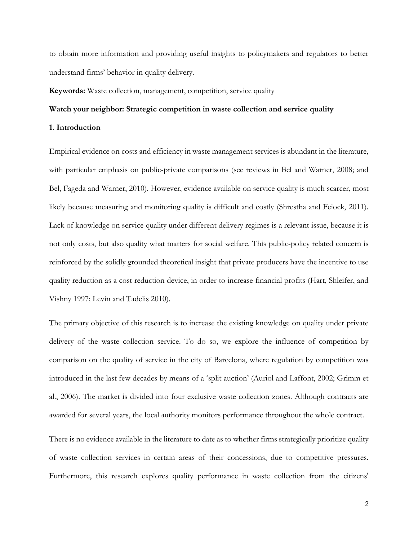to obtain more information and providing useful insights to policymakers and regulators to better understand firms' behavior in quality delivery.

**Keywords:** Waste collection, management, competition, service quality

# **Watch your neighbor: Strategic competition in waste collection and service quality**

# **1. Introduction**

Empirical evidence on costs and efficiency in waste management services is abundant in the literature, with particular emphasis on public-private comparisons (see reviews in Bel and Warner, 2008; and Bel, Fageda and Warner, 2010). However, evidence available on service quality is much scarcer, most likely because measuring and monitoring quality is difficult and costly (Shrestha and Feiock, 2011). Lack of knowledge on service quality under different delivery regimes is a relevant issue, because it is not only costs, but also quality what matters for social welfare. This public-policy related concern is reinforced by the solidly grounded theoretical insight that private producers have the incentive to use quality reduction as a cost reduction device, in order to increase financial profits (Hart, Shleifer, and Vishny 1997; Levin and Tadelis 2010).

The primary objective of this research is to increase the existing knowledge on quality under private delivery of the waste collection service. To do so, we explore the influence of competition by comparison on the quality of service in the city of Barcelona, where regulation by competition was introduced in the last few decades by means of a 'split auction' (Auriol and Laffont, 2002; Grimm et al., 2006). The market is divided into four exclusive waste collection zones. Although contracts are awarded for several years, the local authority monitors performance throughout the whole contract.

There is no evidence available in the literature to date as to whether firms strategically prioritize quality of waste collection services in certain areas of their concessions, due to competitive pressures. Furthermore, this research explores quality performance in waste collection from the citizens'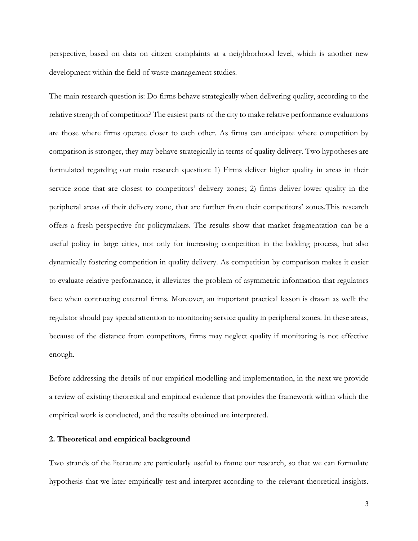perspective, based on data on citizen complaints at a neighborhood level, which is another new development within the field of waste management studies.

The main research question is: Do firms behave strategically when delivering quality, according to the relative strength of competition? The easiest parts of the city to make relative performance evaluations are those where firms operate closer to each other. As firms can anticipate where competition by comparison is stronger, they may behave strategically in terms of quality delivery. Two hypotheses are formulated regarding our main research question: 1) Firms deliver higher quality in areas in their service zone that are closest to competitors' delivery zones; 2) firms deliver lower quality in the peripheral areas of their delivery zone, that are further from their competitors' zones.This research offers a fresh perspective for policymakers. The results show that market fragmentation can be a useful policy in large cities, not only for increasing competition in the bidding process, but also dynamically fostering competition in quality delivery. As competition by comparison makes it easier to evaluate relative performance, it alleviates the problem of asymmetric information that regulators face when contracting external firms. Moreover, an important practical lesson is drawn as well: the regulator should pay special attention to monitoring service quality in peripheral zones. In these areas, because of the distance from competitors, firms may neglect quality if monitoring is not effective enough.

Before addressing the details of our empirical modelling and implementation, in the next we provide a review of existing theoretical and empirical evidence that provides the framework within which the empirical work is conducted, and the results obtained are interpreted.

# **2. Theoretical and empirical background**

Two strands of the literature are particularly useful to frame our research, so that we can formulate hypothesis that we later empirically test and interpret according to the relevant theoretical insights.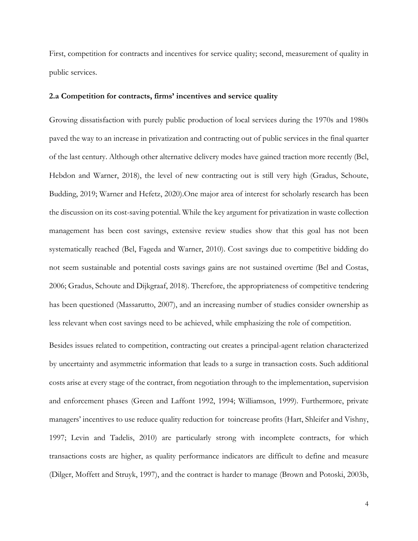First, competition for contracts and incentives for service quality; second, measurement of quality in public services.

### **2.a Competition for contracts, firms' incentives and service quality**

Growing dissatisfaction with purely public production of local services during the 1970s and 1980s paved the way to an increase in privatization and contracting out of public services in the final quarter of the last century. Although other alternative delivery modes have gained traction more recently (Bel, Hebdon and Warner, 2018), the level of new contracting out is still very high (Gradus, Schoute, Budding, 2019; Warner and Hefetz, 2020).One major area of interest for scholarly research has been the discussion on its cost-saving potential. While the key argument for privatization in waste collection management has been cost savings, extensive review studies show that this goal has not been systematically reached (Bel, Fageda and Warner, 2010). Cost savings due to competitive bidding do not seem sustainable and potential costs savings gains are not sustained overtime (Bel and Costas, 2006; Gradus, Schoute and Dijkgraaf, 2018). Therefore, the appropriateness of competitive tendering has been questioned (Massarutto, 2007), and an increasing number of studies consider ownership as less relevant when cost savings need to be achieved, while emphasizing the role of competition.

Besides issues related to competition, contracting out creates a principal-agent relation characterized by uncertainty and asymmetric information that leads to a surge in transaction costs. Such additional costs arise at every stage of the contract, from negotiation through to the implementation, supervision and enforcement phases (Green and Laffont 1992, 1994; Williamson, 1999). Furthermore, private managers' incentives to use reduce quality reduction for toincrease profits (Hart, Shleifer and Vishny, 1997; Levin and Tadelis, 2010) are particularly strong with incomplete contracts, for which transactions costs are higher, as quality performance indicators are difficult to define and measure (Dilger, Moffett and Struyk, 1997), and the contract is harder to manage (Brown and Potoski, 2003b,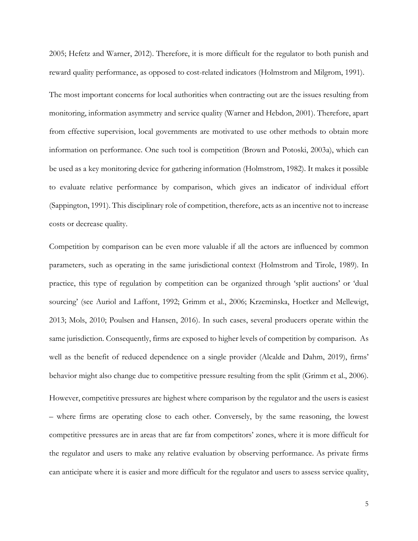2005; Hefetz and Warner, 2012). Therefore, it is more difficult for the regulator to both punish and reward quality performance, as opposed to cost-related indicators (Holmstrom and Milgrom, 1991).

The most important concerns for local authorities when contracting out are the issues resulting from monitoring, information asymmetry and service quality (Warner and Hebdon, 2001). Therefore, apart from effective supervision, local governments are motivated to use other methods to obtain more information on performance. One such tool is competition (Brown and Potoski, 2003a), which can be used as a key monitoring device for gathering information (Holmstrom, 1982). It makes it possible to evaluate relative performance by comparison, which gives an indicator of individual effort (Sappington, 1991). This disciplinary role of competition, therefore, acts as an incentive not to increase costs or decrease quality.

Competition by comparison can be even more valuable if all the actors are influenced by common parameters, such as operating in the same jurisdictional context (Holmstrom and Tirole, 1989). In practice, this type of regulation by competition can be organized through 'split auctions' or 'dual sourcing' (see Auriol and Laffont, 1992; Grimm et al., 2006; Krzeminska, Hoetker and Mellewigt, 2013; Mols, 2010; Poulsen and Hansen, 2016). In such cases, several producers operate within the same jurisdiction. Consequently, firms are exposed to higher levels of competition by comparison. As well as the benefit of reduced dependence on a single provider (Alcalde and Dahm, 2019), firms' behavior might also change due to competitive pressure resulting from the split (Grimm et al., 2006).

However, competitive pressures are highest where comparison by the regulator and the users is easiest – where firms are operating close to each other. Conversely, by the same reasoning, the lowest competitive pressures are in areas that are far from competitors' zones, where it is more difficult for the regulator and users to make any relative evaluation by observing performance. As private firms can anticipate where it is easier and more difficult for the regulator and users to assess service quality,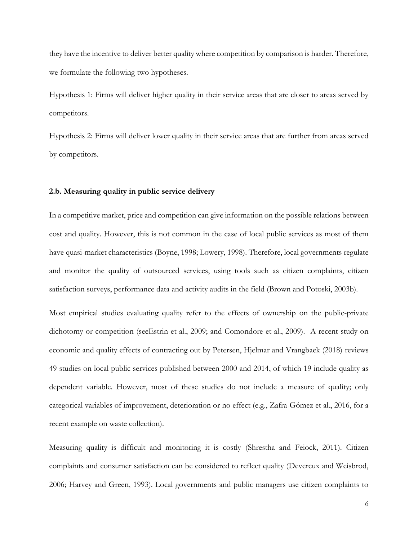they have the incentive to deliver better quality where competition by comparison is harder. Therefore, we formulate the following two hypotheses.

Hypothesis 1: Firms will deliver higher quality in their service areas that are closer to areas served by competitors.

Hypothesis 2: Firms will deliver lower quality in their service areas that are further from areas served by competitors.

### **2.b. Measuring quality in public service delivery**

In a competitive market, price and competition can give information on the possible relations between cost and quality. However, this is not common in the case of local public services as most of them have quasi-market characteristics (Boyne, 1998; Lowery, 1998). Therefore, local governments regulate and monitor the quality of outsourced services, using tools such as citizen complaints, citizen satisfaction surveys, performance data and activity audits in the field (Brown and Potoski, 2003b).

Most empirical studies evaluating quality refer to the effects of ownership on the public-private dichotomy or competition (seeEstrin et al., 2009; and Comondore et al., 2009). A recent study on economic and quality effects of contracting out by Petersen, Hjelmar and Vrangbaek (2018) reviews 49 studies on local public services published between 2000 and 2014, of which 19 include quality as dependent variable. However, most of these studies do not include a measure of quality; only categorical variables of improvement, deterioration or no effect (e.g., Zafra-Gómez et al., 2016, for a recent example on waste collection).

Measuring quality is difficult and monitoring it is costly (Shrestha and Feiock, 2011). Citizen complaints and consumer satisfaction can be considered to reflect quality (Devereux and Weisbrod, 2006; Harvey and Green, 1993). Local governments and public managers use citizen complaints to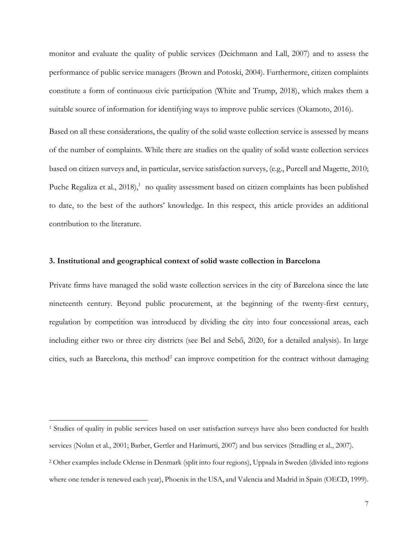monitor and evaluate the quality of public services (Deichmann and Lall, 2007) and to assess the performance of public service managers (Brown and Potoski, 2004). Furthermore, citizen complaints constitute a form of continuous civic participation (White and Trump, 2018), which makes them a suitable source of information for identifying ways to improve public services (Okamoto, 2016).

Based on all these considerations, the quality of the solid waste collection service is assessed by means of the number of complaints. While there are studies on the quality of solid waste collection services based on citizen surveys and, in particular, service satisfaction surveys, (e.g., Purcell and Magette, 2010; Puche Regaliza et al., 2018),<sup>1</sup> no quality assessment based on citizen complaints has been published to date, to the best of the authors' knowledge. In this respect, this article provides an additional contribution to the literature.

# **3. Institutional and geographical context of solid waste collection in Barcelona**

Private firms have managed the solid waste collection services in the city of Barcelona since the late nineteenth century. Beyond public procurement, at the beginning of the twenty-first century, regulation by competition was introduced by dividing the city into four concessional areas, each including either two or three city districts (see Bel and Sebő, 2020, for a detailed analysis). In large cities, such as Barcelona, this method<sup>2</sup> can improve competition for the contract without damaging

<sup>1</sup> Studies of quality in public services based on user satisfaction surveys have also been conducted for health services (Nolan et al., 2001; Barber, Gertler and Harimurti, 2007) and bus services (Stradling et al., 2007).

<sup>2</sup> Other examples include Odense in Denmark (split into four regions), Uppsala in Sweden (divided into regions where one tender is renewed each year), Phoenix in the USA, and Valencia and Madrid in Spain (OECD, 1999).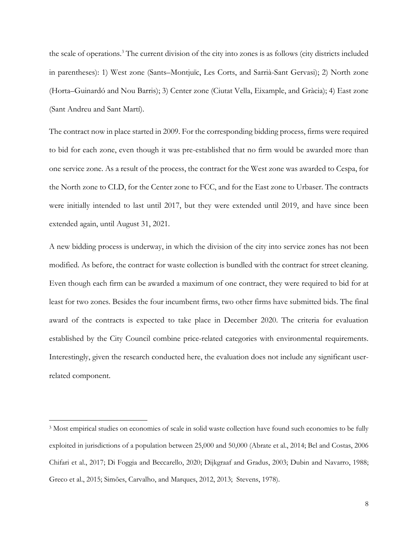the scale of operations.<sup>3</sup> The current division of the city into zones is as follows (city districts included in parentheses): 1) West zone (Sants–Montjuïc, Les Corts, and Sarrià-Sant Gervasi); 2) North zone (Horta–Guinardó and Nou Barris); 3) Center zone (Ciutat Vella, Eixample, and Gràcia); 4) East zone (Sant Andreu and Sant Martí).

The contract now in place started in 2009. For the corresponding bidding process, firms were required to bid for each zone, even though it was pre-established that no firm would be awarded more than one service zone. As a result of the process, the contract for the West zone was awarded to Cespa, for the North zone to CLD, for the Center zone to FCC, and for the East zone to Urbaser. The contracts were initially intended to last until 2017, but they were extended until 2019, and have since been extended again, until August 31, 2021.

A new bidding process is underway, in which the division of the city into service zones has not been modified. As before, the contract for waste collection is bundled with the contract for street cleaning. Even though each firm can be awarded a maximum of one contract, they were required to bid for at least for two zones. Besides the four incumbent firms, two other firms have submitted bids. The final award of the contracts is expected to take place in December 2020. The criteria for evaluation established by the City Council combine price-related categories with environmental requirements. Interestingly, given the research conducted here, the evaluation does not include any significant userrelated component.

<sup>3</sup> Most empirical studies on economies of scale in solid waste collection have found such economies to be fully exploited in jurisdictions of a population between 25,000 and 50,000 (Abrate et al., 2014; Bel and Costas, 2006 Chifari et al., 2017; Di Foggia and Beccarello, 2020; Dijkgraaf and Gradus, 2003; Dubin and Navarro, 1988; Greco et al., 2015; Simões, Carvalho, and Marques, 2012, 2013; Stevens, 1978).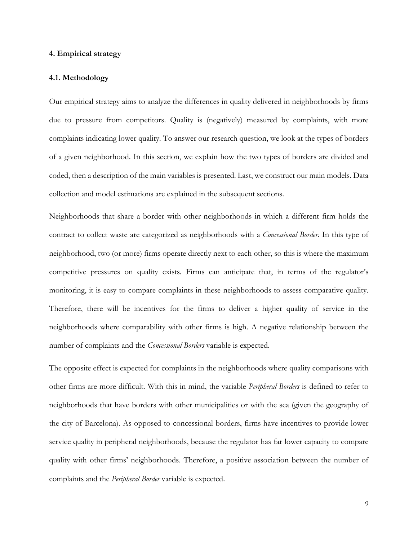### **4. Empirical strategy**

### **4.1. Methodology**

Our empirical strategy aims to analyze the differences in quality delivered in neighborhoods by firms due to pressure from competitors. Quality is (negatively) measured by complaints, with more complaints indicating lower quality. To answer our research question, we look at the types of borders of a given neighborhood. In this section, we explain how the two types of borders are divided and coded, then a description of the main variables is presented. Last, we construct our main models. Data collection and model estimations are explained in the subsequent sections.

Neighborhoods that share a border with other neighborhoods in which a different firm holds the contract to collect waste are categorized as neighborhoods with a *Concessional Border.* In this type of neighborhood, two (or more) firms operate directly next to each other, so this is where the maximum competitive pressures on quality exists. Firms can anticipate that, in terms of the regulator's monitoring, it is easy to compare complaints in these neighborhoods to assess comparative quality. Therefore, there will be incentives for the firms to deliver a higher quality of service in the neighborhoods where comparability with other firms is high. A negative relationship between the number of complaints and the *Concessional Borders* variable is expected.

The opposite effect is expected for complaints in the neighborhoods where quality comparisons with other firms are more difficult. With this in mind, the variable *Peripheral Borders* is defined to refer to neighborhoods that have borders with other municipalities or with the sea (given the geography of the city of Barcelona). As opposed to concessional borders, firms have incentives to provide lower service quality in peripheral neighborhoods, because the regulator has far lower capacity to compare quality with other firms' neighborhoods. Therefore, a positive association between the number of complaints and the *Peripheral Border* variable is expected.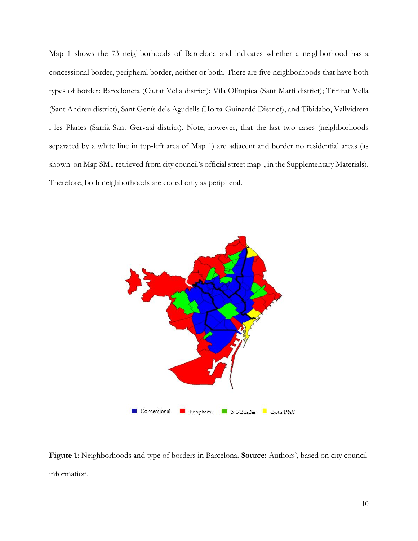Map 1 shows the 73 neighborhoods of Barcelona and indicates whether a neighborhood has a concessional border, peripheral border, neither or both. There are five neighborhoods that have both types of border: Barceloneta (Ciutat Vella district); Vila Olímpica (Sant Martí district); Trinitat Vella (Sant Andreu district), Sant Genís dels Agudells (Horta-Guinardó District), and Tibidabo, Vallvidrera i les Planes (Sarrià-Sant Gervasi district). Note, however, that the last two cases (neighborhoods separated by a white line in top-left area of Map 1) are adjacent and border no residential areas (as shown on Map SM1 retrieved from city council's official street map , in the Supplementary Materials). Therefore, both neighborhoods are coded only as peripheral.



**Figure 1**: Neighborhoods and type of borders in Barcelona. **Source:** Authors', based on city council information.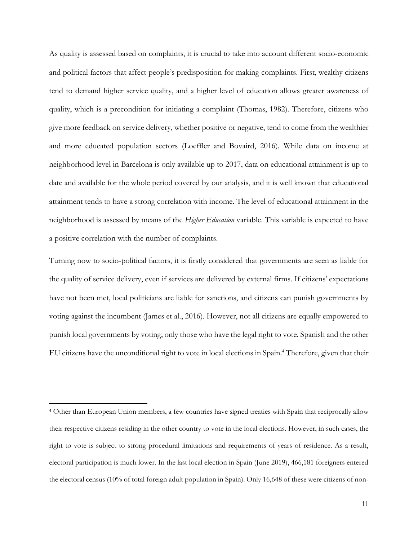As quality is assessed based on complaints, it is crucial to take into account different socio-economic and political factors that affect people's predisposition for making complaints. First, wealthy citizens tend to demand higher service quality, and a higher level of education allows greater awareness of quality, which is a precondition for initiating a complaint (Thomas, 1982). Therefore, citizens who give more feedback on service delivery, whether positive or negative, tend to come from the wealthier and more educated population sectors (Loeffler and Bovaird, 2016). While data on income at neighborhood level in Barcelona is only available up to 2017, data on educational attainment is up to date and available for the whole period covered by our analysis, and it is well known that educational attainment tends to have a strong correlation with income. The level of educational attainment in the neighborhood is assessed by means of the *Higher Education* variable. This variable is expected to have a positive correlation with the number of complaints.

Turning now to socio-political factors, it is firstly considered that governments are seen as liable for the quality of service delivery, even if services are delivered by external firms. If citizens' expectations have not been met, local politicians are liable for sanctions, and citizens can punish governments by voting against the incumbent (James et al., 2016). However, not all citizens are equally empowered to punish local governments by voting; only those who have the legal right to vote. Spanish and the other EU citizens have the unconditional right to vote in local elections in Spain.<sup>4</sup> Therefore, given that their

<sup>4</sup> Other than European Union members, a few countries have signed treaties with Spain that reciprocally allow their respective citizens residing in the other country to vote in the local elections. However, in such cases, the right to vote is subject to strong procedural limitations and requirements of years of residence. As a result, electoral participation is much lower. In the last local election in Spain (June 2019), 466,181 foreigners entered the electoral census (10% of total foreign adult population in Spain). Only 16,648 of these were citizens of non-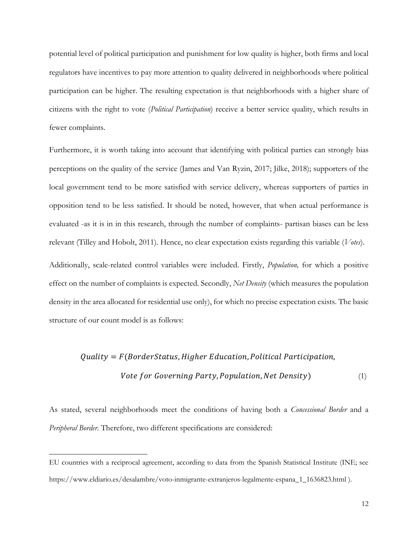potential level of political participation and punishment for low quality is higher, both firms and local regulators have incentives to pay more attention to quality delivered in neighborhoods where political participation can be higher. The resulting expectation is that neighborhoods with a higher share of citizens with the right to vote (*Political Participation*) receive a better service quality, which results in fewer complaints.

Furthermore, it is worth taking into account that identifying with political parties can strongly bias perceptions on the quality of the service (James and Van Ryzin, 2017; Jilke, 2018); supporters of the local government tend to be more satisfied with service delivery, whereas supporters of parties in opposition tend to be less satisfied. It should be noted, however, that when actual performance is evaluated -as it is in in this research, through the number of complaints- partisan biases can be less relevant (Tilley and Hobolt, 2011). Hence, no clear expectation exists regarding this variable (*Votes*).

Additionally, scale-related control variables were included. Firstly, *Population,* for which a positive effect on the number of complaints is expected. Secondly, *Net Density* (which measures the population density in the area allocated for residential use only), for which no precise expectation exists. The basic structure of our count model is as follows:

# $Quality = F(BorderStatus, Higher Education, Political Partition,$ *Vote for Governing Party, Population, Net Density*) (1)

As stated, several neighborhoods meet the conditions of having both a *Concessional Border* and a *Peripheral Border*. Therefore, two different specifications are considered:

EU countries with a reciprocal agreement, according to data from the Spanish Statistical Institute (INE; see https://www.eldiario.es/desalambre/voto-inmigrante-extranjeros-legalmente-espana\_1\_1636823.html ).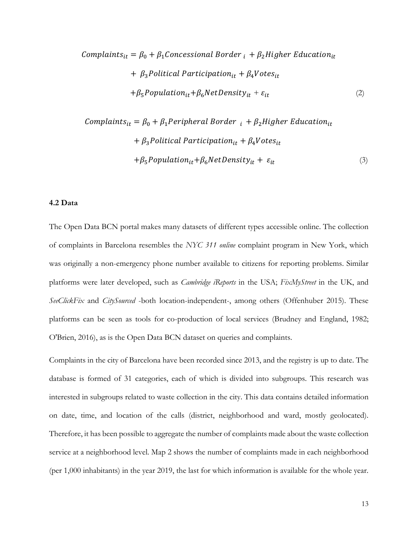Complaints<sub>it</sub> = 
$$
\beta_0 + \beta_1
$$
 *Concessional Border*  $_i + \beta_2$  *Higher Education<sub>it</sub>*

\n $+ \beta_3$  *Politational Partition<sub>it</sub>*  $+ \beta_4$  *Votes<sub>it</sub>*

\n $+ \beta_5$  *Population<sub>it</sub>*  $+ \beta_6$  *NetDensity<sub>it</sub>*  $+ \varepsilon_{it}$ 

\n(2)

Complaints<sub>it</sub> = 
$$
\beta_0 + \beta_1
$$
 Peripheral Border  $i_t + \beta_2$  Higher Education<sub>it</sub>

\n $+ \beta_3$  Political Partition<sub>it</sub> +  $\beta_4$ Notes<sub>it</sub>

\n $+ \beta_5$ Population<sub>it</sub> +  $\beta_6$ NetDensity $y_{it} + \varepsilon_{it}$ 

\n(3)

# **4.2 Data**

The Open Data BCN portal makes many datasets of different types accessible online. The collection of complaints in Barcelona resembles the *NYC 311 online* complaint program in New York, which was originally a non-emergency phone number available to citizens for reporting problems. Similar platforms were later developed, such as *Cambridge iReports* in the USA; *FixMyStreet* in the UK, and *SeeClickFix* and *CitySourced* -both location-independent-, among others (Offenhuber 2015). These platforms can be seen as tools for co-production of local services (Brudney and England, 1982; O'Brien, 2016), as is the Open Data BCN dataset on queries and complaints.

Complaints in the city of Barcelona have been recorded since 2013, and the registry is up to date. The database is formed of 31 categories, each of which is divided into subgroups. This research was interested in subgroups related to waste collection in the city. This data contains detailed information on date, time, and location of the calls (district, neighborhood and ward, mostly geolocated). Therefore, it has been possible to aggregate the number of complaints made about the waste collection service at a neighborhood level. Map 2 shows the number of complaints made in each neighborhood (per 1,000 inhabitants) in the year 2019, the last for which information is available for the whole year.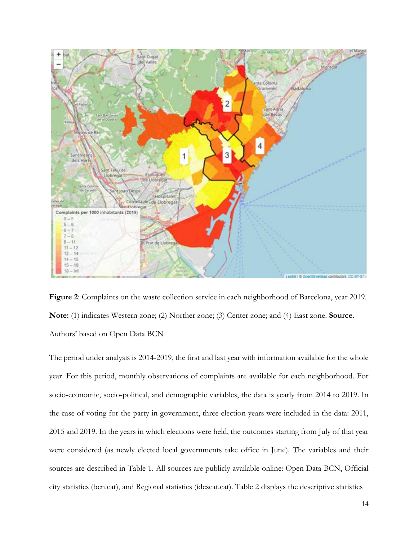

**Figure 2**: Complaints on the waste collection service in each neighborhood of Barcelona, year 2019. **Note:** (1) indicates Western zone; (2) Norther zone; (3) Center zone; and (4) East zone. **Source.** Authors' based on Open Data BCN

The period under analysis is 2014-2019, the first and last year with information available for the whole year. For this period, monthly observations of complaints are available for each neighborhood. For socio-economic, socio-political, and demographic variables, the data is yearly from 2014 to 2019. In the case of voting for the party in government, three election years were included in the data: 2011, 2015 and 2019. In the years in which elections were held, the outcomes starting from July of that year were considered (as newly elected local governments take office in June). The variables and their sources are described in Table 1. All sources are publicly available online: Open Data BCN, Official city statistics (bcn.cat), and Regional statistics (idescat.cat). Table 2 displays the descriptive statistics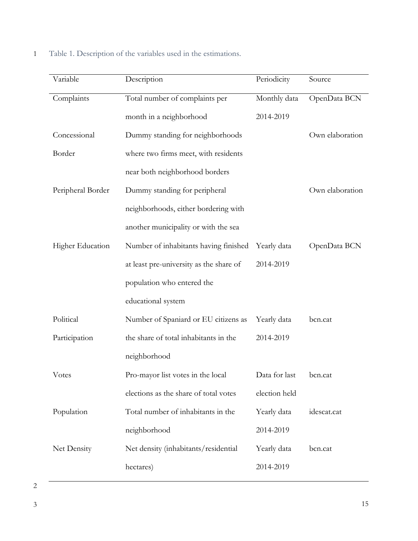1 Table 1. Description of the variables used in the estimations.

| Variable          | Description                             | Periodicity   | Source          |
|-------------------|-----------------------------------------|---------------|-----------------|
| Complaints        | Total number of complaints per          | Monthly data  | OpenData BCN    |
|                   | month in a neighborhood                 | 2014-2019     |                 |
| Concessional      | Dummy standing for neighborhoods        |               | Own elaboration |
| Border            | where two firms meet, with residents    |               |                 |
|                   | near both neighborhood borders          |               |                 |
| Peripheral Border | Dummy standing for peripheral           |               | Own elaboration |
|                   | neighborhoods, either bordering with    |               |                 |
|                   | another municipality or with the sea    |               |                 |
| Higher Education  | Number of inhabitants having finished   | Yearly data   | OpenData BCN    |
|                   | at least pre-university as the share of | 2014-2019     |                 |
|                   | population who entered the              |               |                 |
|                   | educational system                      |               |                 |
| Political         | Number of Spaniard or EU citizens as    | Yearly data   | bcn.cat         |
| Participation     | the share of total inhabitants in the   | 2014-2019     |                 |
|                   | neighborhood                            |               |                 |
| Votes             | Pro-mayor list votes in the local       | Data for last | bcn.cat         |
|                   | elections as the share of total votes   | election held |                 |
| Population        | Total number of inhabitants in the      | Yearly data   | idescat.cat     |
|                   | neighborhood                            | 2014-2019     |                 |
| Net Density       | Net density (inhabitants/residential    | Yearly data   | bcn.cat         |
|                   | hectares)                               | 2014-2019     |                 |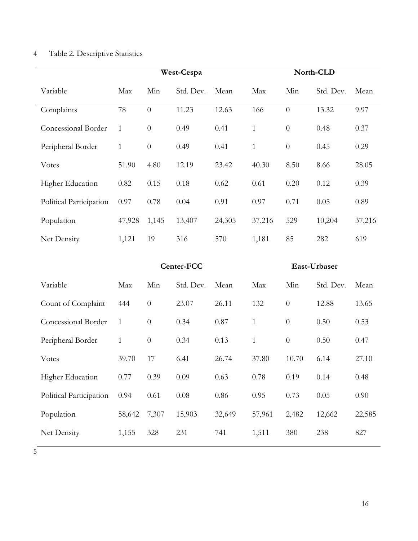# 4 Table 2. Descriptive Statistics

|                         | West-Cespa   |          |           | North-CLD |              |                |           |        |
|-------------------------|--------------|----------|-----------|-----------|--------------|----------------|-----------|--------|
| Variable                | Max          | Min      | Std. Dev. | Mean      | Max          | Min            | Std. Dev. | Mean   |
| Complaints              | 78           | $\theta$ | 11.23     | 12.63     | 166          | $\overline{0}$ | 13.32     | 9.97   |
| Concessional Border     | $\mathbf{1}$ | $\theta$ | 0.49      | 0.41      | $\mathbf{1}$ | $\overline{0}$ | 0.48      | 0.37   |
| Peripheral Border       | $\mathbf{1}$ | $\theta$ | 0.49      | 0.41      | $\mathbf{1}$ | $\overline{0}$ | 0.45      | 0.29   |
| Votes                   | 51.90        | 4.80     | 12.19     | 23.42     | 40.30        | 8.50           | 8.66      | 28.05  |
| Higher Education        | 0.82         | 0.15     | 0.18      | 0.62      | 0.61         | 0.20           | 0.12      | 0.39   |
| Political Participation | 0.97         | 0.78     | 0.04      | 0.91      | 0.97         | 0.71           | 0.05      | 0.89   |
| Population              | 47,928       | 1,145    | 13,407    | 24,305    | 37,216       | 529            | 10,204    | 37,216 |
| Net Density             | 1,121        | 19       | 316       | 570       | 1,181        | 85             | 282       | 619    |

|                         |              | Center-FCC |           |        | East-Urbaser |          |           |        |
|-------------------------|--------------|------------|-----------|--------|--------------|----------|-----------|--------|
| Variable                | Max          | Min        | Std. Dev. | Mean   | Max          | Min      | Std. Dev. | Mean   |
| Count of Complaint      | 444          | $\theta$   | 23.07     | 26.11  | 132          | $\theta$ | 12.88     | 13.65  |
| Concessional Border     | 1            | $\theta$   | 0.34      | 0.87   | $\mathbf{1}$ | $\theta$ | 0.50      | 0.53   |
| Peripheral Border       | $\mathbf{1}$ | $\theta$   | 0.34      | 0.13   | $\mathbf{1}$ | $\theta$ | 0.50      | 0.47   |
| Votes                   | 39.70        | 17         | 6.41      | 26.74  | 37.80        | 10.70    | 6.14      | 27.10  |
| Higher Education        | 0.77         | 0.39       | 0.09      | 0.63   | 0.78         | 0.19     | 0.14      | 0.48   |
| Political Participation | 0.94         | 0.61       | 0.08      | 0.86   | 0.95         | 0.73     | 0.05      | 0.90   |
| Population              | 58,642       | 7,307      | 15,903    | 32,649 | 57,961       | 2,482    | 12,662    | 22,585 |
| Net Density             | 1,155        | 328        | 231       | 741    | 1,511        | 380      | 238       | 827    |
|                         |              |            |           |        |              |          |           |        |

5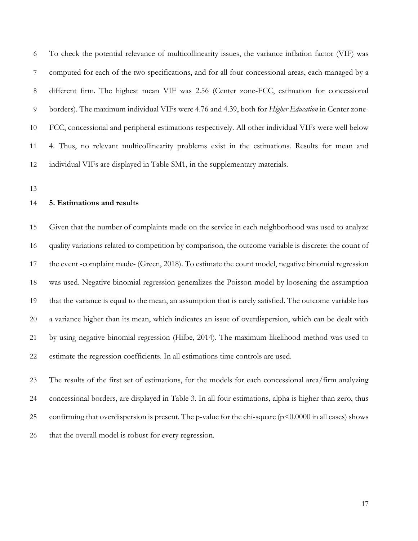To check the potential relevance of multicollinearity issues, the variance inflation factor (VIF) was computed for each of the two specifications, and for all four concessional areas, each managed by a different firm. The highest mean VIF was 2.56 (Center zone-FCC, estimation for concessional borders). The maximum individual VIFs were 4.76 and 4.39, both for *Higher Education* in Center zone- FCC, concessional and peripheral estimations respectively. All other individual VIFs were well below 4. Thus, no relevant multicollinearity problems exist in the estimations. Results for mean and individual VIFs are displayed in Table SM1, in the supplementary materials.

# **5. Estimations and results**

 Given that the number of complaints made on the service in each neighborhood was used to analyze quality variations related to competition by comparison, the outcome variable is discrete: the count of the event -complaint made- (Green, 2018). To estimate the count model, negative binomial regression was used. Negative binomial regression generalizes the Poisson model by loosening the assumption that the variance is equal to the mean, an assumption that is rarely satisfied. The outcome variable has a variance higher than its mean, which indicates an issue of overdispersion, which can be dealt with by using negative binomial regression (Hilbe, 2014). The maximum likelihood method was used to estimate the regression coefficients. In all estimations time controls are used.

 The results of the first set of estimations, for the models for each concessional area/firm analyzing concessional borders, are displayed in Table 3. In all four estimations, alpha is higher than zero, thus confirming that overdispersion is present. The p-value for the chi-square (p<0.0000 in all cases) shows that the overall model is robust for every regression.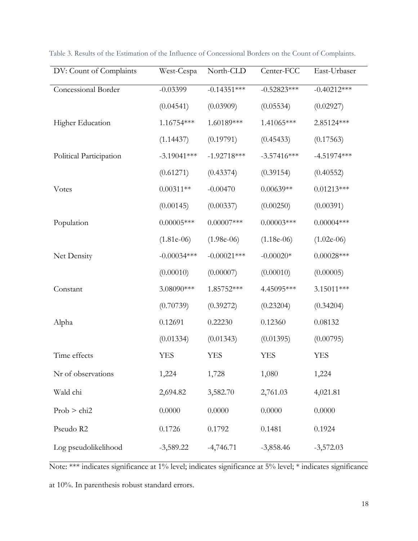| DV: Count of Complaints | West-Cespa    | North-CLD     | Center-FCC    | East-Urbaser  |
|-------------------------|---------------|---------------|---------------|---------------|
| Concessional Border     | $-0.03399$    | $-0.14351***$ | $-0.52823***$ | $-0.40212***$ |
|                         | (0.04541)     | (0.03909)     | (0.05534)     | (0.02927)     |
| Higher Education        | 1.16754 ***   | 1.60189***    | 1.41065***    | 2.85124 ***   |
|                         | (1.14437)     | (0.19791)     | (0.45433)     | (0.17563)     |
| Political Participation | $-3.19041***$ | $-1.92718***$ | $-3.57416***$ | $-4.51974***$ |
|                         | (0.61271)     | (0.43374)     | (0.39154)     | (0.40552)     |
| Votes                   | $0.00311**$   | $-0.00470$    | $0.00639**$   | $0.01213***$  |
|                         | (0.00145)     | (0.00337)     | (0.00250)     | (0.00391)     |
| Population              | $0.00005***$  | $0.00007$ *** | $0.00003$ *** | $0.00004***$  |
|                         | $(1.81e-06)$  | $(1.98e-06)$  | $(1.18e-06)$  | $(1.02e-06)$  |
| Net Density             | $-0.00034***$ | $-0.00021***$ | $-0.00020*$   | $0.00028***$  |
|                         | (0.00010)     | (0.00007)     | (0.00010)     | (0.00005)     |
| Constant                | 3.08090***    | 1.85752 ***   | 4.45095***    | 3.15011***    |
|                         | (0.70739)     | (0.39272)     | (0.23204)     | (0.34204)     |
| Alpha                   | 0.12691       | 0.22230       | 0.12360       | 0.08132       |
|                         | (0.01334)     | (0.01343)     | (0.01395)     | (0.00795)     |
| Time effects            | <b>YES</b>    | <b>YES</b>    | <b>YES</b>    | <b>YES</b>    |
| Nr of observations      | 1,224         | 1,728         | 1,080         | 1,224         |
| Wald chi                | 2,694.82      | 3,582.70      | 2,761.03      | 4,021.81      |
| Prob > chi2             | 0.0000        | 0.0000        | 0.0000        | 0.0000        |
| Pseudo R2               | 0.1726        | 0.1792        | 0.1481        | 0.1924        |
| Log pseudolikelihood    | $-3,589.22$   | $-4,746.71$   | $-3,858.46$   | $-3,572.03$   |

Table 3. Results of the Estimation of the Influence of Concessional Borders on the Count of Complaints.

Note: \*\*\* indicates significance at 1% level; indicates significance at 5% level; \* indicates significance at 10%. In parenthesis robust standard errors.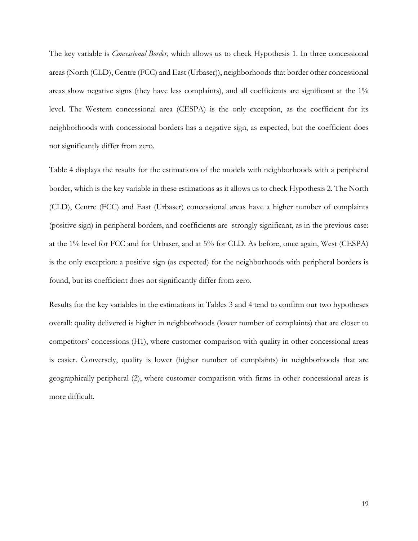The key variable is *Concessional Border*, which allows us to check Hypothesis 1. In three concessional areas (North (CLD), Centre (FCC) and East (Urbaser)), neighborhoods that border other concessional areas show negative signs (they have less complaints), and all coefficients are significant at the 1% level. The Western concessional area (CESPA) is the only exception, as the coefficient for its neighborhoods with concessional borders has a negative sign, as expected, but the coefficient does not significantly differ from zero.

Table 4 displays the results for the estimations of the models with neighborhoods with a peripheral border, which is the key variable in these estimations as it allows us to check Hypothesis 2. The North (CLD), Centre (FCC) and East (Urbaser) concessional areas have a higher number of complaints (positive sign) in peripheral borders, and coefficients are strongly significant, as in the previous case: at the 1% level for FCC and for Urbaser, and at 5% for CLD. As before, once again, West (CESPA) is the only exception: a positive sign (as expected) for the neighborhoods with peripheral borders is found, but its coefficient does not significantly differ from zero.

Results for the key variables in the estimations in Tables 3 and 4 tend to confirm our two hypotheses overall: quality delivered is higher in neighborhoods (lower number of complaints) that are closer to competitors' concessions (H1), where customer comparison with quality in other concessional areas is easier. Conversely, quality is lower (higher number of complaints) in neighborhoods that are geographically peripheral (2), where customer comparison with firms in other concessional areas is more difficult.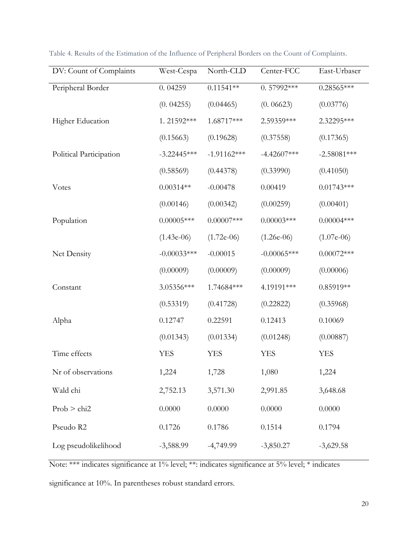| DV: Count of Complaints | West-Cespa    | North-CLD     | Center-FCC    | East-Urbaser  |
|-------------------------|---------------|---------------|---------------|---------------|
| Peripheral Border       | 0.04259       | $0.11541**$   | $0.57992***$  | $0.28565***$  |
|                         | (0.04255)     | (0.04465)     | (0.06623)     | (0.03776)     |
| Higher Education        | 1.21592***    | 1.68717***    | 2.59359***    | 2.32295***    |
|                         | (0.15663)     | (0.19628)     | (0.37558)     | (0.17365)     |
| Political Participation | $-3.22445***$ | $-1.91162***$ | $-4.42607***$ | $-2.58081***$ |
|                         | (0.58569)     | (0.44378)     | (0.33990)     | (0.41050)     |
| Votes                   | $0.00314**$   | $-0.00478$    | 0.00419       | $0.01743***$  |
|                         | (0.00146)     | (0.00342)     | (0.00259)     | (0.00401)     |
| Population              | $0.00005***$  | $0.00007$ *** | $0.00003$ *** | $0.00004***$  |
|                         | $(1.43e-06)$  | $(1.72e-06)$  | $(1.26e-06)$  | $(1.07e-06)$  |
| Net Density             | $-0.00033***$ | $-0.00015$    | $-0.00065***$ | $0.00072***$  |
|                         | (0.00009)     | (0.00009)     | (0.00009)     | (0.00006)     |
| Constant                | 3.05356***    | 1.74684 ***   | 4.19191***    | $0.85919**$   |
|                         | (0.53319)     | (0.41728)     | (0.22822)     | (0.35968)     |
| Alpha                   | 0.12747       | 0.22591       | 0.12413       | 0.10069       |
|                         | (0.01343)     | (0.01334)     | (0.01248)     | (0.00887)     |
| Time effects            | <b>YES</b>    | <b>YES</b>    | <b>YES</b>    | <b>YES</b>    |
| Nr of observations      | 1,224         | 1,728         | 1,080         | 1,224         |
| Wald chi                | 2,752.13      | 3,571.30      | 2,991.85      | 3,648.68      |
| Prob > chi2             | 0.0000        | 0.0000        | 0.0000        | 0.0000        |
| Pseudo R2               | 0.1726        | 0.1786        | 0.1514        | 0.1794        |
| Log pseudolikelihood    | $-3,588.99$   | $-4,749.99$   | $-3,850.27$   | $-3,629.58$   |

Table 4. Results of the Estimation of the Influence of Peripheral Borders on the Count of Complaints.

Note: \*\*\* indicates significance at 1% level; \*\*: indicates significance at 5% level; \* indicates

significance at 10%. In parentheses robust standard errors.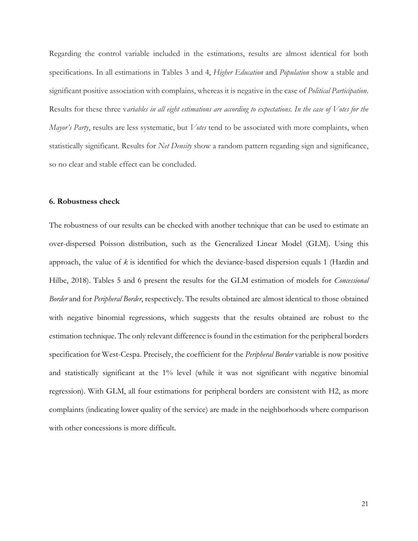Regarding the control variable included in the estimations, results are almost identical for both specifications. In all estimations in Tables 3 and 4, *Higher Education* and *Population* show a stable and significant positive association with complains, whereas it is negative in the case of *Political Participation*. Results for these three v*ariables in all eight estimations are according to expectations. In the case of Votes for the Mayor's Party*, results are less systematic, but *Votes* tend to be associated with more complaints, when statistically significant. Results for *Net Density* show a random pattern regarding sign and significance, so no clear and stable effect can be concluded.

#### **6. Robustness check**

The robustness of our results can be checked with another technique that can be used to estimate an over-dispersed Poisson distribution, such as the Generalized Linear Model (GLM). Using this approach, the value of *k* is identified for which the deviance-based dispersion equals 1 (Hardin and Hilbe, 2018). Tables 5 and 6 present the results for the GLM estimation of models for *Concessional Border* and for *Peripheral Border*, respectively. The results obtained are almost identical to those obtained with negative binomial regressions, which suggests that the results obtained are robust to the estimation technique. The only relevant difference is found in the estimation for the peripheral borders specification for West-Cespa. Precisely, the coefficient for the *Peripheral Border* variable is now positive and statistically significant at the 1% level (while it was not significant with negative binomial regression). With GLM, all four estimations for peripheral borders are consistent with H2, as more complaints (indicating lower quality of the service) are made in the neighborhoods where comparison with other concessions is more difficult.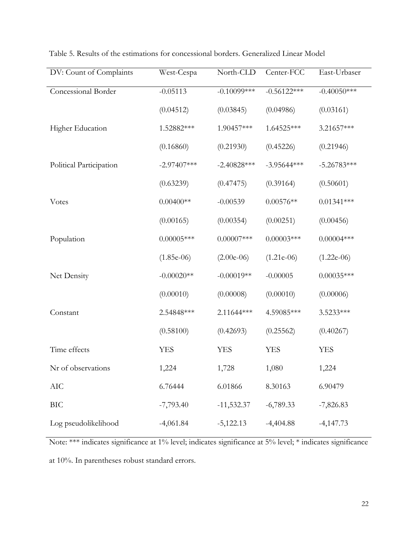| DV: Count of Complaints | West-Cespa    | North-CLD      | Center-FCC    | East-Urbaser   |
|-------------------------|---------------|----------------|---------------|----------------|
| Concessional Border     | $-0.05113$    | $-0.10099$ *** | $-0.56122***$ | $-0.40050$ *** |
|                         | (0.04512)     | (0.03845)      | (0.04986)     | (0.03161)      |
| Higher Education        | 1.52882 ***   | 1.90457***     | 1.64525 ***   | 3.21657***     |
|                         | (0.16860)     | (0.21930)      | (0.45226)     | (0.21946)      |
| Political Participation | $-2.97407***$ | $-2.40828***$  | $-3.95644***$ | $-5.26783***$  |
|                         | (0.63239)     | (0.47475)      | (0.39164)     | (0.50601)      |
| <b>V</b> otes           | $0.00400**$   | $-0.00539$     | $0.00576**$   | $0.01341***$   |
|                         | (0.00165)     | (0.00354)      | (0.00251)     | (0.00456)      |
| Population              | $0.00005***$  | $0.00007$ ***  | $0.00003$ *** | $0.00004***$   |
|                         | $(1.85e-06)$  | $(2.00e-06)$   | $(1.21e-06)$  | $(1.22e-06)$   |
| Net Density             | $-0.00020**$  | $-0.00019**$   | $-0.00005$    | $0.00035***$   |
|                         | (0.00010)     | (0.00008)      | (0.00010)     | (0.00006)      |
| Constant                | 2.54848 ***   | 2.11644 ***    | 4.59085***    | 3.5233***      |
|                         | (0.58100)     | (0.42693)      | (0.25562)     | (0.40267)      |
| Time effects            | <b>YES</b>    | <b>YES</b>     | <b>YES</b>    | <b>YES</b>     |
| Nr of observations      | 1,224         | 1,728          | 1,080         | 1,224          |
| $\rm AIC$               | 6.76444       | 6.01866        | 8.30163       | 6.90479        |
| <b>BIC</b>              | $-7,793.40$   | $-11,532.37$   | $-6,789.33$   | $-7,826.83$    |
| Log pseudolikelihood    | $-4,061.84$   | $-5,122.13$    | $-4,404.88$   | $-4,147.73$    |

Table 5. Results of the estimations for concessional borders. Generalized Linear Model

Note: \*\*\* indicates significance at 1% level; indicates significance at 5% level; \* indicates significance

at 10%. In parentheses robust standard errors.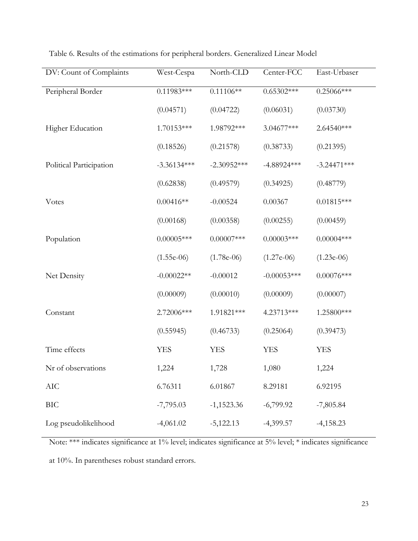| DV: Count of Complaints | West-Cespa    | North-CLD     | Center-FCC    | East-Urbaser  |
|-------------------------|---------------|---------------|---------------|---------------|
| Peripheral Border       | $0.11983***$  | $0.11106**$   | $0.65302***$  | $0.25066***$  |
|                         | (0.04571)     | (0.04722)     | (0.06031)     | (0.03730)     |
| Higher Education        | 1.70153***    | 1.98792***    | $3.04677***$  | 2.64540***    |
|                         | (0.18526)     | (0.21578)     | (0.38733)     | (0.21395)     |
| Political Participation | $-3.36134***$ | $-2.30952***$ | $-4.88924***$ | $-3.24471***$ |
|                         | (0.62838)     | (0.49579)     | (0.34925)     | (0.48779)     |
| <b>V</b> otes           | $0.00416**$   | $-0.00524$    | 0.00367       | $0.01815***$  |
|                         | (0.00168)     | (0.00358)     | (0.00255)     | (0.00459)     |
| Population              | $0.00005$ *** | $0.00007$ *** | $0.00003$ *** | $0.00004***$  |
|                         | $(1.55e-06)$  | $(1.78e-06)$  | $(1.27e-06)$  | $(1.23e-06)$  |
| Net Density             | $-0.00022**$  | $-0.00012$    | $-0.00053***$ | $0.00076$ *** |
|                         | (0.00009)     | (0.00010)     | (0.00009)     | (0.00007)     |
| Constant                | 2.72006***    | 1.91821 ***   | 4.23713***    | 1.25800***    |
|                         | (0.55945)     | (0.46733)     | (0.25064)     | (0.39473)     |
| Time effects            | <b>YES</b>    | <b>YES</b>    | <b>YES</b>    | <b>YES</b>    |
| Nr of observations      | 1,224         | 1,728         | 1,080         | 1,224         |
| AIC                     | 6.76311       | 6.01867       | 8.29181       | 6.92195       |
| <b>BIC</b>              | $-7,795.03$   | $-1,1523.36$  | $-6,799.92$   | $-7,805.84$   |
| Log pseudolikelihood    | $-4,061.02$   | $-5,122.13$   | $-4,399.57$   | $-4,158.23$   |

Table 6. Results of the estimations for peripheral borders. Generalized Linear Model

Note: \*\*\* indicates significance at 1% level; indicates significance at 5% level; \* indicates significance

at 10%. In parentheses robust standard errors.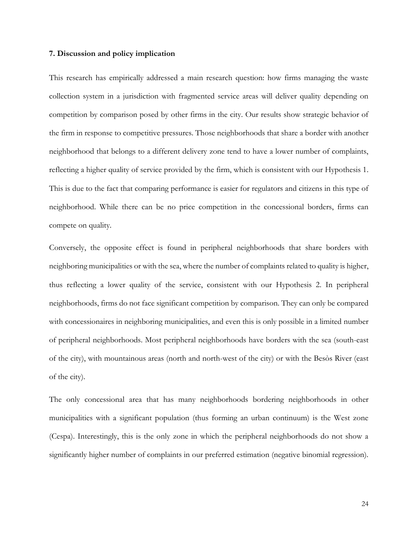### **7. Discussion and policy implication**

This research has empirically addressed a main research question: how firms managing the waste collection system in a jurisdiction with fragmented service areas will deliver quality depending on competition by comparison posed by other firms in the city. Our results show strategic behavior of the firm in response to competitive pressures. Those neighborhoods that share a border with another neighborhood that belongs to a different delivery zone tend to have a lower number of complaints, reflecting a higher quality of service provided by the firm, which is consistent with our Hypothesis 1. This is due to the fact that comparing performance is easier for regulators and citizens in this type of neighborhood. While there can be no price competition in the concessional borders, firms can compete on quality.

Conversely, the opposite effect is found in peripheral neighborhoods that share borders with neighboring municipalities or with the sea, where the number of complaints related to quality is higher, thus reflecting a lower quality of the service, consistent with our Hypothesis 2. In peripheral neighborhoods, firms do not face significant competition by comparison. They can only be compared with concessionaires in neighboring municipalities, and even this is only possible in a limited number of peripheral neighborhoods. Most peripheral neighborhoods have borders with the sea (south-east of the city), with mountainous areas (north and north-west of the city) or with the Besòs River (east of the city).

The only concessional area that has many neighborhoods bordering neighborhoods in other municipalities with a significant population (thus forming an urban continuum) is the West zone (Cespa). Interestingly, this is the only zone in which the peripheral neighborhoods do not show a significantly higher number of complaints in our preferred estimation (negative binomial regression).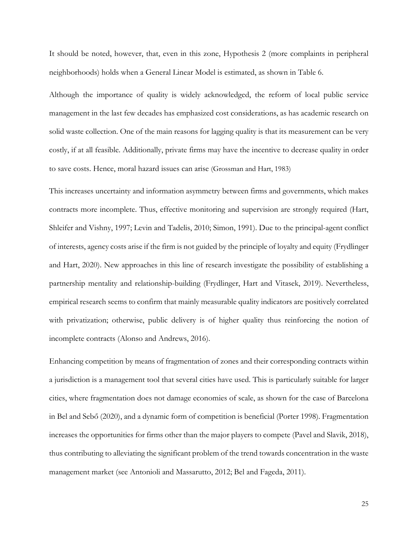It should be noted, however, that, even in this zone, Hypothesis 2 (more complaints in peripheral neighborhoods) holds when a General Linear Model is estimated, as shown in Table 6.

Although the importance of quality is widely acknowledged, the reform of local public service management in the last few decades has emphasized cost considerations, as has academic research on solid waste collection. One of the main reasons for lagging quality is that its measurement can be very costly, if at all feasible. Additionally, private firms may have the incentive to decrease quality in order to save costs. Hence, moral hazard issues can arise (Grossman and Hart, 1983)

This increases uncertainty and information asymmetry between firms and governments, which makes contracts more incomplete. Thus, effective monitoring and supervision are strongly required (Hart, Shleifer and Vishny, 1997; Levin and Tadelis, 2010; Simon, 1991). Due to the principal-agent conflict of interests, agency costs arise if the firm is not guided by the principle of loyalty and equity (Frydlinger and Hart, 2020). New approaches in this line of research investigate the possibility of establishing a partnership mentality and relationship-building (Frydlinger, Hart and Vitasek, 2019). Nevertheless, empirical research seems to confirm that mainly measurable quality indicators are positively correlated with privatization; otherwise, public delivery is of higher quality thus reinforcing the notion of incomplete contracts (Alonso and Andrews, 2016).

Enhancing competition by means of fragmentation of zones and their corresponding contracts within a jurisdiction is a management tool that several cities have used. This is particularly suitable for larger cities, where fragmentation does not damage economies of scale, as shown for the case of Barcelona in Bel and Sebő (2020), and a dynamic form of competition is beneficial (Porter 1998). Fragmentation increases the opportunities for firms other than the major players to compete (Pavel and Slavik, 2018), thus contributing to alleviating the significant problem of the trend towards concentration in the waste management market (see Antonioli and Massarutto, 2012; Bel and Fageda, 2011).

25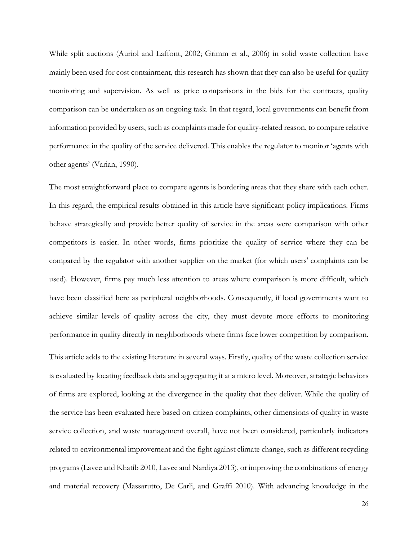While split auctions (Auriol and Laffont, 2002; Grimm et al., 2006) in solid waste collection have mainly been used for cost containment, this research has shown that they can also be useful for quality monitoring and supervision. As well as price comparisons in the bids for the contracts, quality comparison can be undertaken as an ongoing task. In that regard, local governments can benefit from information provided by users, such as complaints made for quality-related reason, to compare relative performance in the quality of the service delivered. This enables the regulator to monitor 'agents with other agents' (Varian, 1990).

The most straightforward place to compare agents is bordering areas that they share with each other. In this regard, the empirical results obtained in this article have significant policy implications. Firms behave strategically and provide better quality of service in the areas were comparison with other competitors is easier. In other words, firms prioritize the quality of service where they can be compared by the regulator with another supplier on the market (for which users' complaints can be used). However, firms pay much less attention to areas where comparison is more difficult, which have been classified here as peripheral neighborhoods. Consequently, if local governments want to achieve similar levels of quality across the city, they must devote more efforts to monitoring performance in quality directly in neighborhoods where firms face lower competition by comparison. This article adds to the existing literature in several ways. Firstly, quality of the waste collection service is evaluated by locating feedback data and aggregating it at a micro level. Moreover, strategic behaviors of firms are explored, looking at the divergence in the quality that they deliver. While the quality of the service has been evaluated here based on citizen complaints, other dimensions of quality in waste service collection, and waste management overall, have not been considered, particularly indicators related to environmental improvement and the fight against climate change, such as different recycling programs (Lavee and Khatib 2010, Lavee and Nardiya 2013), or improving the combinations of energy

and material recovery (Massarutto, De Carli, and Graffi 2010). With advancing knowledge in the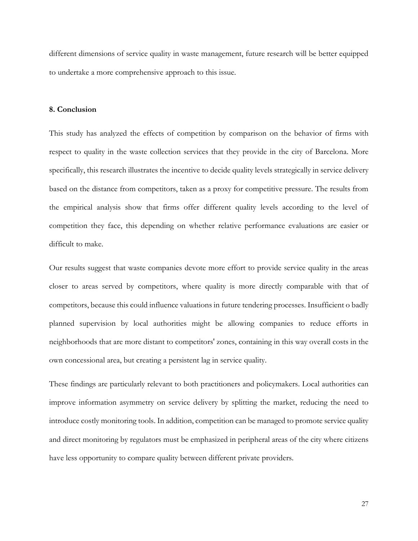different dimensions of service quality in waste management, future research will be better equipped to undertake a more comprehensive approach to this issue.

# **8. Conclusion**

This study has analyzed the effects of competition by comparison on the behavior of firms with respect to quality in the waste collection services that they provide in the city of Barcelona. More specifically, this research illustrates the incentive to decide quality levels strategically in service delivery based on the distance from competitors, taken as a proxy for competitive pressure. The results from the empirical analysis show that firms offer different quality levels according to the level of competition they face, this depending on whether relative performance evaluations are easier or difficult to make.

Our results suggest that waste companies devote more effort to provide service quality in the areas closer to areas served by competitors, where quality is more directly comparable with that of competitors, because this could influence valuations in future tendering processes. Insufficient o badly planned supervision by local authorities might be allowing companies to reduce efforts in neighborhoods that are more distant to competitors' zones, containing in this way overall costs in the own concessional area, but creating a persistent lag in service quality.

These findings are particularly relevant to both practitioners and policymakers. Local authorities can improve information asymmetry on service delivery by splitting the market, reducing the need to introduce costly monitoring tools. In addition, competition can be managed to promote service quality and direct monitoring by regulators must be emphasized in peripheral areas of the city where citizens have less opportunity to compare quality between different private providers.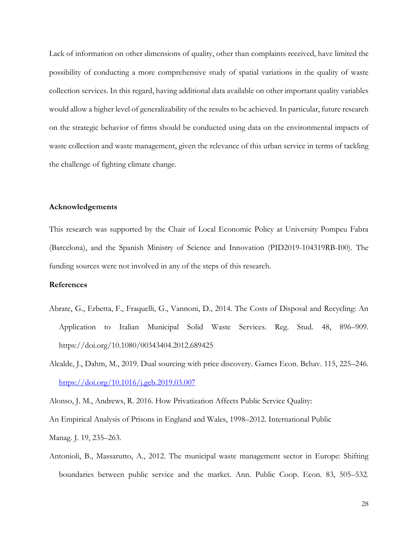Lack of information on other dimensions of quality, other than complaints received, have limited the possibility of conducting a more comprehensive study of spatial variations in the quality of waste collection services. In this regard, having additional data available on other important quality variables would allow a higher level of generalizability of the results to be achieved. In particular, future research on the strategic behavior of firms should be conducted using data on the environmental impacts of waste collection and waste management, given the relevance of this urban service in terms of tackling the challenge of fighting climate change.

# **Acknowledgements**

This research was supported by the Chair of Local Economic Policy at University Pompeu Fabra (Barcelona), and the Spanish Ministry of Science and Innovation (PID2019-104319RB-I00). The funding sources were not involved in any of the steps of this research.

# **References**

- Abrate, G., Erbetta, F., Fraquelli, G., Vannoni, D., 2014. The Costs of Disposal and Recycling: An Application to Italian Municipal Solid Waste Services. Reg. Stud. 48, 896–909. https://doi.org/10.1080/00343404.2012.689425
- Alcalde, J., Dahm, M., 2019. Dual sourcing with price discovery. Games Econ. Behav. 115, 225–246. <https://doi.org/10.1016/j.geb.2019.03.007>

Alonso, J. M., Andrews, R. 2016. How Privatization Affects Public Service Quality:

An Empirical Analysis of Prisons in England and Wales, 1998–2012. International Public

Manag. J. 19, 235–263.

Antonioli, B., Massarutto, A., 2012. The municipal waste management sector in Europe: Shifting boundaries between public service and the market. Ann. Public Coop. Econ. 83, 505–532.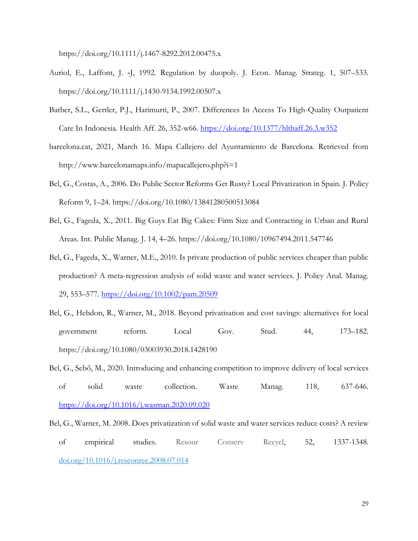https://doi.org/10.1111/j.1467-8292.2012.00475.x

- Auriol, E., Laffont, J. -J, 1992. Regulation by duopoly. J. Econ. Manag. Strateg. 1, 507–533. https://doi.org/10.1111/j.1430-9134.1992.00507.x
- Barber, S.L., Gertler, P.J., Harimurti, P., 2007. Differences In Access To High-Quality Outpatient Care In Indonesia. Health Aff. 26, 352-w66.<https://doi.org/10.1377/hlthaff.26.3.w352>
- barcelona.cat, 2021, March 16. Mapa Callejero del Ayuntamiento de Barcelona. Retrieved from http://www.barcelonamaps.info/mapacallejero.php?i=1
- Bel, G., Costas, A., 2006. Do Public Sector Reforms Get Rusty? Local Privatization in Spain. J. Policy Reform 9, 1–24. https://doi.org/10.1080/13841280500513084
- Bel, G., Fageda, X., 2011. Big Guys Eat Big Cakes: Firm Size and Contracting in Urban and Rural Areas. Int. Public Manag. J. 14, 4–26. https://doi.org/10.1080/10967494.2011.547746
- Bel, G., Fageda, X., Warner, M.E., 2010. Is private production of public services cheaper than public production? A meta-regression analysis of solid waste and water services. J. Policy Anal. Manag. 29, 553–577.<https://doi.org/10.1002/pam.20509>
- Bel, G., Hebdon, R., Warner, M., 2018. Beyond privatisation and cost savings: alternatives for local government reform. Local Gov. Stud. 44, 173–182. https://doi.org/10.1080/03003930.2018.1428190
- Bel, G., Sebő, M., 2020. Introducing and enhancing competition to improve delivery of local services of solid waste collection. Waste Manag. 118, 637-646. <https://doi.org/10.1016/j.wasman.2020.09.020>
- Bel, G., Warner, M. 2008. Does privatization of solid waste and water services reduce costs? A review of empirical studies. Resour Conserv Recycl, 52, 1337-1348. [doi.org/10.1016/j.resconrec.2008.07.014](https://doi.org/10.1016/j.resconrec.2008.07.014)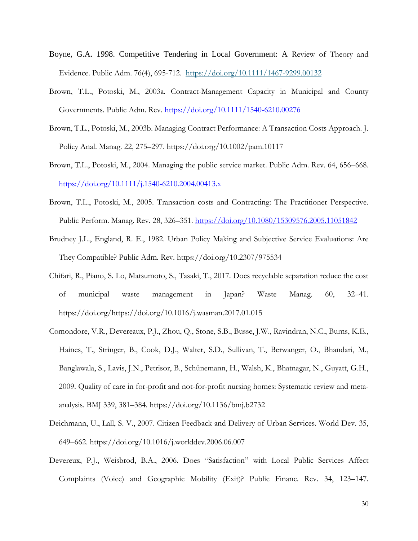- Boyne, G.A. 1998. Competitive Tendering in Local Government: A Review of Theory and Evidence. Public Adm. 76(4), 695-712. <https://doi.org/10.1111/1467-9299.00132>
- Brown, T.L., Potoski, M., 2003a. Contract-Management Capacity in Municipal and County Governments. Public Adm. Rev.<https://doi.org/10.1111/1540-6210.00276>
- Brown, T.L., Potoski, M., 2003b. Managing Contract Performance: A Transaction Costs Approach. J. Policy Anal. Manag. 22, 275–297. https://doi.org/10.1002/pam.10117
- Brown, T.L., Potoski, M., 2004. Managing the public service market. Public Adm. Rev. 64, 656–668. <https://doi.org/10.1111/j.1540-6210.2004.00413.x>
- Brown, T.L., Potoski, M., 2005. Transaction costs and Contracting: The Practitioner Perspective. Public Perform. Manag. Rev. 28, 326–351.<https://doi.org/10.1080/15309576.2005.11051842>
- Brudney J.L., England, R. E., 1982. Urban Policy Making and Subjective Service Evaluations: Are They Compatible? Public Adm. Rev. https://doi.org/10.2307/975534
- Chifari, R., Piano, S. Lo, Matsumoto, S., Tasaki, T., 2017. Does recyclable separation reduce the cost of municipal waste management in Japan? Waste Manag. 60, 32–41. https://doi.org/https://doi.org/10.1016/j.wasman.2017.01.015
- Comondore, V.R., Devereaux, P.J., Zhou, Q., Stone, S.B., Busse, J.W., Ravindran, N.C., Burns, K.E., Haines, T., Stringer, B., Cook, D.J., Walter, S.D., Sullivan, T., Berwanger, O., Bhandari, M., Banglawala, S., Lavis, J.N., Petrisor, B., Schünemann, H., Walsh, K., Bhatnagar, N., Guyatt, G.H., 2009. Quality of care in for-profit and not-for-profit nursing homes: Systematic review and metaanalysis. BMJ 339, 381–384. https://doi.org/10.1136/bmj.b2732
- Deichmann, U., Lall, S. V., 2007. Citizen Feedback and Delivery of Urban Services. World Dev. 35, 649–662. https://doi.org/10.1016/j.worlddev.2006.06.007
- Devereux, P.J., Weisbrod, B.A., 2006. Does "Satisfaction" with Local Public Services Affect Complaints (Voice) and Geographic Mobility (Exit)? Public Financ. Rev. 34, 123–147.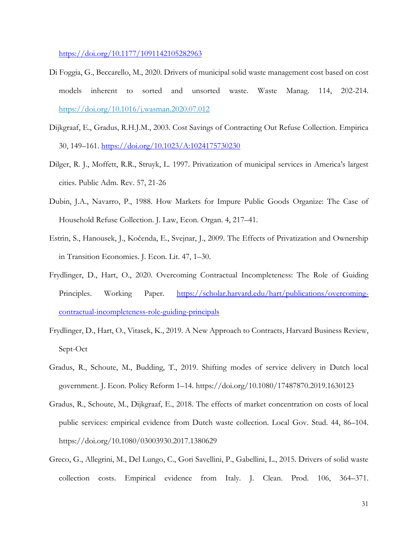<https://doi.org/10.1177/1091142105282963>

- Di Foggia, G., Beccarello, M., 2020. Drivers of municipal solid waste management cost based on cost models inherent to sorted and unsorted waste. Waste Manag. 114, 202-214. <https://doi.org/10.1016/j.wasman.2020.07.012>
- Dijkgraaf, E., Gradus, R.H.J.M., 2003. Cost Savings of Contracting Out Refuse Collection. Empirica 30, 149–161.<https://doi.org/10.1023/A:1024175730230>
- Dilger, R. J., Moffett, R.R., Struyk, L. 1997. Privatization of municipal services in America's largest cities. Public Adm. Rev. 57, 21-26
- Dubin, J.A., Navarro, P., 1988. How Markets for Impure Public Goods Organize: The Case of Household Refuse Collection. J. Law, Econ. Organ. 4, 217–41.
- Estrin, S., Hanousek, J., Kočenda, E., Svejnar, J., 2009. The Effects of Privatization and Ownership in Transition Economies. J. Econ. Lit. 47, 1–30.
- Frydlinger, D., Hart, O., 2020. Overcoming Contractual Incompleteness: The Role of Guiding Principles. Working Paper. [https://scholar.harvard.edu/hart/publications/overcoming](https://scholar.harvard.edu/hart/publications/overcoming-contractual-incompleteness-role-guiding-principals)[contractual-incompleteness-role-guiding-principals](https://scholar.harvard.edu/hart/publications/overcoming-contractual-incompleteness-role-guiding-principals)
- Frydlinger, D., Hart, O., Vitasek, K., 2019. A New Approach to Contracts, Harvard Business Review, Sept-Oct
- Gradus, R., Schoute, M., Budding, T., 2019. Shifting modes of service delivery in Dutch local government. J. Econ. Policy Reform 1–14. https://doi.org/10.1080/17487870.2019.1630123
- Gradus, R., Schoute, M., Dijkgraaf, E., 2018. The effects of market concentration on costs of local public services: empirical evidence from Dutch waste collection. Local Gov. Stud. 44, 86–104. https://doi.org/10.1080/03003930.2017.1380629
- Greco, G., Allegrini, M., Del Lungo, C., Gori Savellini, P., Gabellini, L., 2015. Drivers of solid waste collection costs. Empirical evidence from Italy. J. Clean. Prod. 106, 364–371.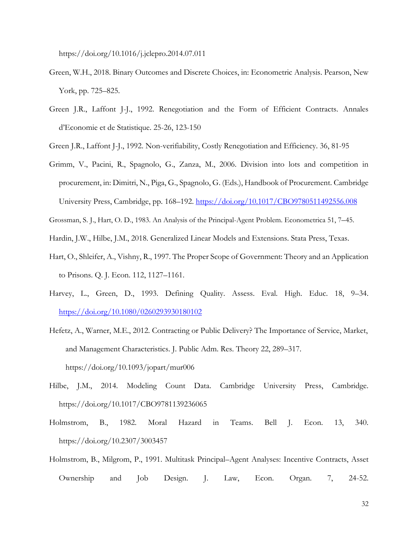https://doi.org/10.1016/j.jclepro.2014.07.011

- Green, W.H., 2018. Binary Outcomes and Discrete Choices, in: Econometric Analysis. Pearson, New York, pp. 725–825.
- Green J.R., Laffont J-J., 1992. Renegotiation and the Form of Efficient Contracts. Annales d'Economie et de Statistique. 25-26, 123-150
- Green J.R., Laffont J-J., 1992. Non-verifiability, Costly Renegotiation and Efficiency. 36, 81-95
- Grimm, V., Pacini, R., Spagnolo, G., Zanza, M., 2006. Division into lots and competition in procurement, in: Dimitri, N., Piga, G., Spagnolo, G. (Eds.), Handbook of Procurement. Cambridge University Press, Cambridge, pp. 168–192.<https://doi.org/10.1017/CBO9780511492556.008>
- Grossman, S. J., Hart, O. D., 1983. An Analysis of the Principal-Agent Problem. Econometrica 51, 7–45.
- Hardin, J.W., Hilbe, J.M., 2018. Generalized Linear Models and Extensions. Stata Press, Texas.
- Hart, O., Shleifer, A., Vishny, R., 1997. The Proper Scope of Government: Theory and an Application to Prisons. Q. J. Econ. 112, 1127–1161.
- Harvey, L., Green, D., 1993. Defining Quality. Assess. Eval. High. Educ. 18, 9–34. <https://doi.org/10.1080/0260293930180102>
- Hefetz, A., Warner, M.E., 2012. Contracting or Public Delivery? The Importance of Service, Market, and Management Characteristics. J. Public Adm. Res. Theory 22, 289–317. https://doi.org/10.1093/jopart/mur006
- Hilbe, J.M., 2014. Modeling Count Data. Cambridge University Press, Cambridge. https://doi.org/10.1017/CBO9781139236065
- Holmstrom, B., 1982. Moral Hazard in Teams. Bell J. Econ. 13, 340. https://doi.org/10.2307/3003457
- Holmstrom, B., Milgrom, P., 1991. Multitask Principal–Agent Analyses: Incentive Contracts, Asset Ownership and Job Design. J. Law, Econ. Organ. 7, 24-52.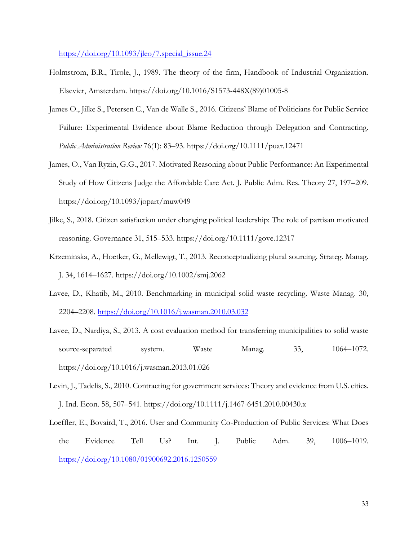[https://doi.org/10.1093/jleo/7.special\\_issue.24](https://doi.org/10.1093/jleo/7.special_issue.24)

- Holmstrom, B.R., Tirole, J., 1989. The theory of the firm, Handbook of Industrial Organization. Elsevier, Amsterdam. https://doi.org/10.1016/S1573-448X(89)01005-8
- James O., Jilke S., Petersen C., Van de Walle S., 2016. Citizens' Blame of Politicians for Public Service Failure: Experimental Evidence about Blame Reduction through Delegation and Contracting. *Public Administration Review* 76(1): 83–93. https://doi.org/10.1111/puar.12471
- James, O., Van Ryzin, G.G., 2017. Motivated Reasoning about Public Performance: An Experimental Study of How Citizens Judge the Affordable Care Act. J. Public Adm. Res. Theory 27, 197–209. https://doi.org/10.1093/jopart/muw049
- Jilke, S., 2018. Citizen satisfaction under changing political leadership: The role of partisan motivated reasoning. Governance 31, 515–533. https://doi.org/10.1111/gove.12317
- Krzeminska, A., Hoetker, G., Mellewigt, T., 2013. Reconceptualizing plural sourcing. Strateg. Manag. J. 34, 1614–1627. https://doi.org/10.1002/smj.2062
- Lavee, D., Khatib, M., 2010. Benchmarking in municipal solid waste recycling. Waste Manag. 30, 2204–2208.<https://doi.org/10.1016/j.wasman.2010.03.032>
- Lavee, D., Nardiya, S., 2013. A cost evaluation method for transferring municipalities to solid waste source-separated system. Waste Manag. 33, 1064–1072. https://doi.org/10.1016/j.wasman.2013.01.026
- Levin, J., Tadelis, S., 2010. Contracting for government services: Theory and evidence from U.S. cities. J. Ind. Econ. 58, 507–541. https://doi.org/10.1111/j.1467-6451.2010.00430.x
- Loeffler, E., Bovaird, T., 2016. User and Community Co-Production of Public Services: What Does the Evidence Tell Us? Int. J. Public Adm. 39, 1006–1019. <https://doi.org/10.1080/01900692.2016.1250559>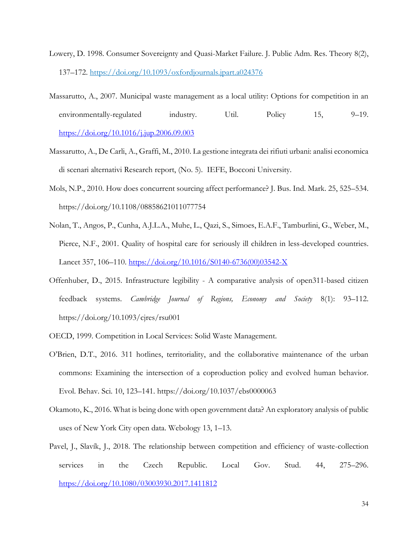- Lowery, D. 1998. Consumer Sovereignty and Quasi-Market Failure. J. Public Adm. Res. Theory 8(2), 137–172.<https://doi.org/10.1093/oxfordjournals.jpart.a024376>
- Massarutto, A., 2007. Municipal waste management as a local utility: Options for competition in an environmentally-regulated industry. Util. Policy 15, 9–19. <https://doi.org/10.1016/j.jup.2006.09.003>
- Massarutto, A., De Carli, A., Graffi, M., 2010. La gestione integrata dei rifiuti urbani: analisi economica di scenari alternativi Research report, (No. 5). IEFE, Bocconi University.
- Mols, N.P., 2010. How does concurrent sourcing affect performance? J. Bus. Ind. Mark. 25, 525–534. https://doi.org/10.1108/08858621011077754
- Nolan, T., Angos, P., Cunha, A.J.L.A., Muhe, L., Qazi, S., Simoes, E.A.F., Tamburlini, G., Weber, M., Pierce, N.F., 2001. Quality of hospital care for seriously ill children in less-developed countries. Lancet 357, 106–110. [https://doi.org/10.1016/S0140-6736\(00\)03542-X](https://doi.org/10.1016/S0140-6736(00)03542-X)
- Offenhuber, D., 2015. Infrastructure legibility A comparative analysis of open311-based citizen feedback systems. *Cambridge Journal of Regions, Economy and Society* 8(1): 93–112. https://doi.org/10.1093/cjres/rsu001
- OECD, 1999. Competition in Local Services: Solid Waste Management.
- O'Brien, D.T., 2016. 311 hotlines, territoriality, and the collaborative maintenance of the urban commons: Examining the intersection of a coproduction policy and evolved human behavior. Evol. Behav. Sci. 10, 123–141. https://doi.org/10.1037/ebs0000063
- Okamoto, K., 2016. What is being done with open government data? An exploratory analysis of public uses of New York City open data. Webology 13, 1–13.
- Pavel, J., Slavík, J., 2018. The relationship between competition and efficiency of waste-collection services in the Czech Republic. Local Gov. Stud. 44, 275–296. <https://doi.org/10.1080/03003930.2017.1411812>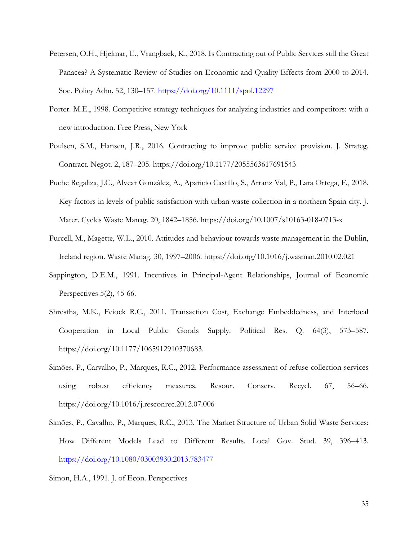- Petersen, O.H., Hjelmar, U., Vrangbaek, K., 2018. Is Contracting out of Public Services still the Great Panacea? A Systematic Review of Studies on Economic and Quality Effects from 2000 to 2014. Soc. Policy Adm. 52, 130–157.<https://doi.org/10.1111/spol.12297>
- Porter. M.E., 1998. Competitive strategy techniques for analyzing industries and competitors: with a new introduction. Free Press, New York
- Poulsen, S.M., Hansen, J.R., 2016. Contracting to improve public service provision. J. Strateg. Contract. Negot. 2, 187–205. https://doi.org/10.1177/2055563617691543
- Puche Regaliza, J.C., Alvear González, A., Aparicio Castillo, S., Arranz Val, P., Lara Ortega, F., 2018. Key factors in levels of public satisfaction with urban waste collection in a northern Spain city. J. Mater. Cycles Waste Manag. 20, 1842–1856. https://doi.org/10.1007/s10163-018-0713-x
- Purcell, M., Magette, W.L., 2010. Attitudes and behaviour towards waste management in the Dublin, Ireland region. Waste Manag. 30, 1997–2006. https://doi.org/10.1016/j.wasman.2010.02.021
- Sappington, D.E.M., 1991. Incentives in Principal-Agent Relationships, Journal of Economic Perspectives 5(2), 45-66.
- Shrestha, M.K., Feiock R.C., 2011. Transaction Cost, Exchange Embeddedness, and Interlocal Cooperation in Local Public Goods Supply. Political Res. Q. 64(3), 573–587. https://doi.org/10.1177/1065912910370683.
- Simões, P., Carvalho, P., Marques, R.C., 2012. Performance assessment of refuse collection services using robust efficiency measures. Resour. Conserv. Recycl. 67, 56–66. https://doi.org/10.1016/j.resconrec.2012.07.006
- Simões, P., Cavalho, P., Marques, R.C., 2013. The Market Structure of Urban Solid Waste Services: How Different Models Lead to Different Results. Local Gov. Stud. 39, 396–413. <https://doi.org/10.1080/03003930.2013.783477>

Simon, H.A., 1991. J. of Econ. Perspectives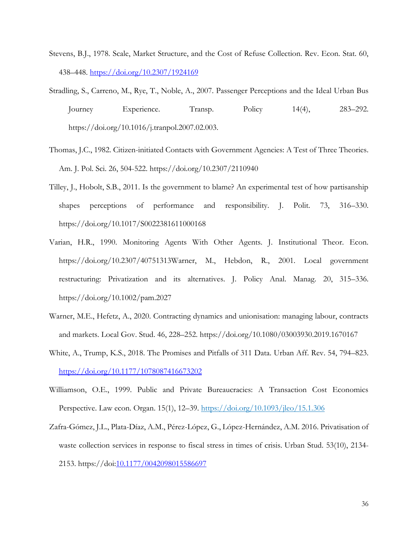- Stevens, B.J., 1978. Scale, Market Structure, and the Cost of Refuse Collection. Rev. Econ. Stat. 60, 438–448.<https://doi.org/10.2307/1924169>
- Stradling, S., Carreno, M., Rye, T., Noble, A., 2007. Passenger Perceptions and the Ideal Urban Bus Journey Experience. Transp. Policy 14(4), 283–292. https://doi.org/10.1016/j.tranpol.2007.02.003.
- Thomas, J.C., 1982. Citizen-initiated Contacts with Government Agencies: A Test of Three Theories. Am. J. Pol. Sci. 26, 504-522. https://doi.org/10.2307/2110940
- Tilley, J., Hobolt, S.B., 2011. Is the government to blame? An experimental test of how partisanship shapes perceptions of performance and responsibility. J. Polit. 73, 316–330. https://doi.org/10.1017/S0022381611000168
- Varian, H.R., 1990. Monitoring Agents With Other Agents. J. Institutional Theor. Econ. https://doi.org/10.2307/40751313Warner, M., Hebdon, R., 2001. Local government restructuring: Privatization and its alternatives. J. Policy Anal. Manag. 20, 315–336. https://doi.org/10.1002/pam.2027
- Warner, M.E., Hefetz, A., 2020. Contracting dynamics and unionisation: managing labour, contracts and markets. Local Gov. Stud. 46, 228–252. https://doi.org/10.1080/03003930.2019.1670167
- White, A., Trump, K.S., 2018. The Promises and Pitfalls of 311 Data. Urban Aff. Rev. 54, 794–823. <https://doi.org/10.1177/1078087416673202>
- Williamson, O.E., 1999. Public and Private Bureaucracies: A Transaction Cost Economics Perspective. Law econ. Organ. 15(1), 12–39.<https://doi.org/10.1093/jleo/15.1.306>
- Zafra-Gómez, J.L., Plata-Díaz, A.M., Pérez-López, G., López-Hernández, A.M. 2016. Privatisation of waste collection services in response to fiscal stress in times of crisis. Urban Stud. 53(10), 2134-2153. https://doi[:10.1177/0042098015586697](https://doi.org/10.1177/0042098015586697)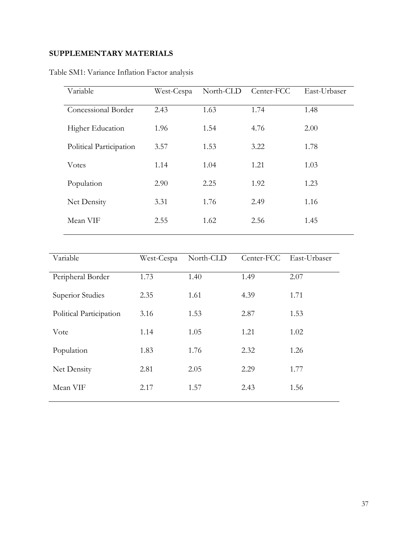# **SUPPLEMENTARY MATERIALS**

| Variable                | West-Cespa | North-CLD | Center-FCC | East-Urbaser |
|-------------------------|------------|-----------|------------|--------------|
| Concessional Border     | 2.43       | 1.63      | 1.74       | 1.48         |
| <b>Higher Education</b> | 1.96       | 1.54      | 4.76       | 2.00         |
| Political Participation | 3.57       | 1.53      | 3.22       | 1.78         |
| <b>V</b> otes           | 1.14       | 1.04      | 1.21       | 1.03         |
| Population              | 2.90       | 2.25      | 1.92       | 1.23         |
| Net Density             | 3.31       | 1.76      | 2.49       | 1.16         |
| Mean VIF                | 2.55       | 1.62      | 2.56       | 1.45         |

Table SM1: Variance Inflation Factor analysis

| Variable                | West-Cespa | North-CLD |      | Center-FCC East-Urbaser |
|-------------------------|------------|-----------|------|-------------------------|
| Peripheral Border       | 1.73       | 1.40      | 1.49 | 2.07                    |
| Superior Studies        | 2.35       | 1.61      | 4.39 | 1.71                    |
| Political Participation | 3.16       | 1.53      | 2.87 | 1.53                    |
| Vote                    | 1.14       | 1.05      | 1.21 | 1.02                    |
| Population              | 1.83       | 1.76      | 2.32 | 1.26                    |
| Net Density             | 2.81       | 2.05      | 2.29 | 1.77                    |
| Mean VIF                | 2.17       | 1.57      | 2.43 | 1.56                    |